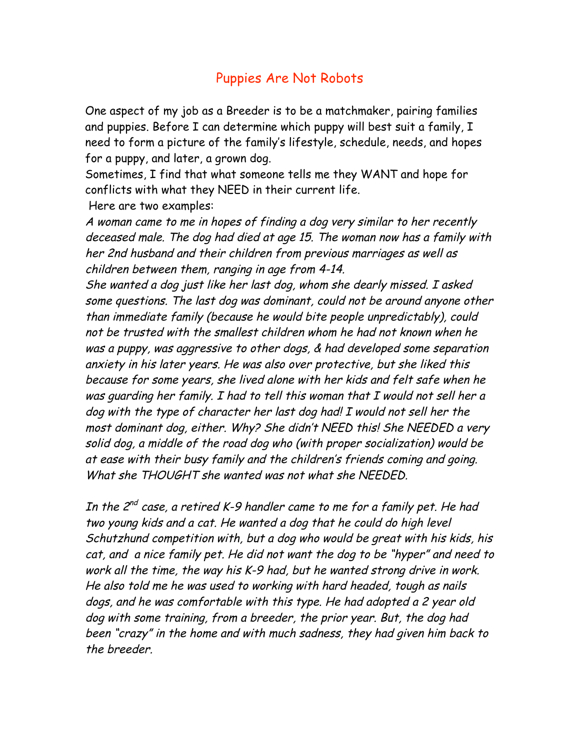## Puppies Are Not Robots

One aspect of my job as a Breeder is to be a matchmaker, pairing families and puppies. Before I can determine which puppy will best suit a family, I need to form a picture of the family's lifestyle, schedule, needs, and hopes for a puppy, and later, a grown dog.

Sometimes, I find that what someone tells me they WANT and hope for conflicts with what they NEED in their current life.

Here are two examples:

A woman came to me in hopes of finding a dog very similar to her recently deceased male. The dog had died at age 15. The woman now has a family with her 2nd husband and their children from previous marriages as well as children between them, ranging in age from 4-14.

She wanted a dog just like her last dog, whom she dearly missed. I asked some questions. The last dog was dominant, could not be around anyone other than immediate family (because he would bite people unpredictably), could not be trusted with the smallest children whom he had not known when he was a puppy, was aggressive to other dogs, & had developed some separation anxiety in his later years. He was also over protective, but she liked this because for some years, she lived alone with her kids and felt safe when he was guarding her family. I had to tell this woman that I would not sell her a dog with the type of character her last dog had! I would not sell her the most dominant dog, either. Why? She didn't NEED this! She NEEDED a very solid dog, a middle of the road dog who (with proper socialization) would be at ease with their busy family and the children's friends coming and going. What she THOUGHT she wanted was not what she NEEDED.

In the  $2^{nd}$  case, a retired K-9 handler came to me for a family pet. He had two young kids and a cat. He wanted a dog that he could do high level Schutzhund competition with, but a dog who would be great with his kids, his cat, and a nice family pet. He did not want the dog to be "hyper" and need to work all the time, the way his K-9 had, but he wanted strong drive in work. He also told me he was used to working with hard headed, tough as nails dogs, and he was comfortable with this type. He had adopted a 2 year old dog with some training, from a breeder, the prior year. But, the dog had been "crazy" in the home and with much sadness, they had given him back to the breeder.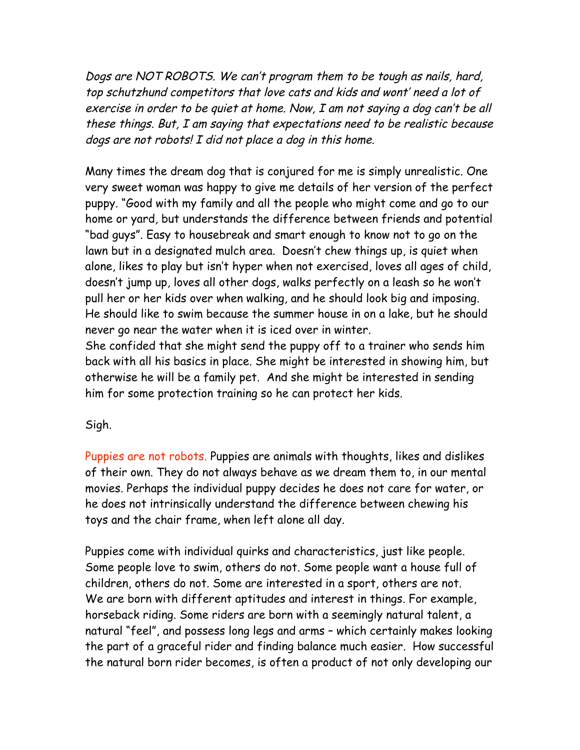Dogs are NOT ROBOTS. We can't program them to be tough as nails, hard, top schutzhund competitors that love cats and kids and wont' need a lot of exercise in order to be quiet at home. Now, I am not saying a dog can't be all these things. But, I am saying that expectations need to be realistic because dogs are not robots! I did not place a dog in this home.

Many times the dream dog that is conjured for me is simply unrealistic. One very sweet woman was happy to give me details of her version of the perfect puppy. "Good with my family and all the people who might come and go to our home or yard, but understands the difference between friends and potential "bad guys". Easy to housebreak and smart enough to know not to go on the lawn but in a designated mulch area. Doesn't chew things up, is quiet when alone, likes to play but isn't hyper when not exercised, loves all ages of child, doesn't jump up, loves all other dogs, walks perfectly on a leash so he won't pull her or her kids over when walking, and he should look big and imposing. He should like to swim because the summer house in on a lake, but he should never go near the water when it is iced over in winter.

She confided that she might send the puppy off to a trainer who sends him back with all his basics in place. She might be interested in showing him, but otherwise he will be a family pet. And she might be interested in sending him for some protection training so he can protect her kids.

## Sigh.

Puppies are not robots. Puppies are animals with thoughts, likes and dislikes of their own. They do not always behave as we dream them to, in our mental movies. Perhaps the individual puppy decides he does not care for water, or he does not intrinsically understand the difference between chewing his toys and the chair frame, when left alone all day.

Puppies come with individual quirks and characteristics, just like people. Some people love to swim, others do not. Some people want a house full of children, others do not. Some are interested in a sport, others are not. We are born with different aptitudes and interest in things. For example, horseback riding. Some riders are born with a seemingly natural talent, a natural "feel", and possess long legs and arms – which certainly makes looking the part of a graceful rider and finding balance much easier. How successful the natural born rider becomes, is often a product of not only developing our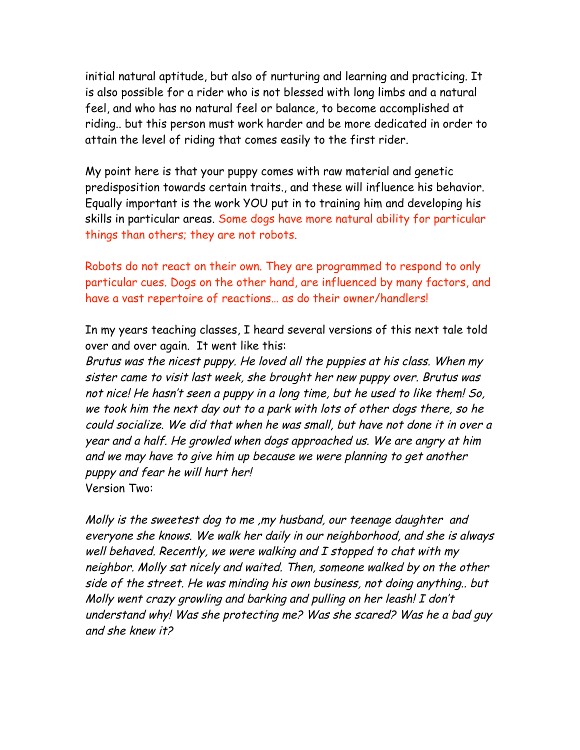initial natural aptitude, but also of nurturing and learning and practicing. It is also possible for a rider who is not blessed with long limbs and a natural feel, and who has no natural feel or balance, to become accomplished at riding.. but this person must work harder and be more dedicated in order to attain the level of riding that comes easily to the first rider.

My point here is that your puppy comes with raw material and genetic predisposition towards certain traits., and these will influence his behavior. Equally important is the work YOU put in to training him and developing his skills in particular areas. Some dogs have more natural ability for particular things than others; they are not robots.

Robots do not react on their own. They are programmed to respond to only particular cues. Dogs on the other hand, are influenced by many factors, and have a vast repertoire of reactions… as do their owner/handlers!

In my years teaching classes, I heard several versions of this next tale told over and over again. It went like this:

Brutus was the nicest puppy. He loved all the puppies at his class. When my sister came to visit last week, she brought her new puppy over. Brutus was not nice! He hasn't seen a puppy in a long time, but he used to like them! So, we took him the next day out to a park with lots of other dogs there, so he could socialize. We did that when he was small, but have not done it in over a year and a half. He growled when dogs approached us. We are angry at him and we may have to give him up because we were planning to get another puppy and fear he will hurt her! Version Two:

Molly is the sweetest dog to me ,my husband, our teenage daughter and everyone she knows. We walk her daily in our neighborhood, and she is always well behaved. Recently, we were walking and I stopped to chat with my neighbor. Molly sat nicely and waited. Then, someone walked by on the other side of the street. He was minding his own business, not doing anything.. but Molly went crazy growling and barking and pulling on her leash! I don't understand why! Was she protecting me? Was she scared? Was he a bad guy and she knew it?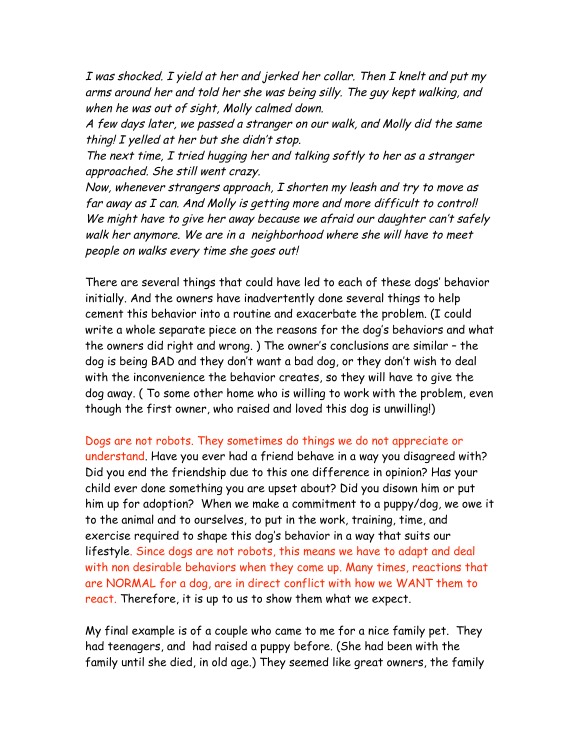I was shocked. I yield at her and jerked her collar. Then I knelt and put my arms around her and told her she was being silly. The guy kept walking, and when he was out of sight, Molly calmed down.

A few days later, we passed a stranger on our walk, and Molly did the same thing! I yelled at her but she didn't stop.

The next time, I tried hugging her and talking softly to her as a stranger approached. She still went crazy.

Now, whenever strangers approach, I shorten my leash and try to move as far away as I can. And Molly is getting more and more difficult to control! We might have to give her away because we afraid our daughter can't safely walk her anymore. We are in a neighborhood where she will have to meet people on walks every time she goes out!

There are several things that could have led to each of these dogs' behavior initially. And the owners have inadvertently done several things to help cement this behavior into a routine and exacerbate the problem. (I could write a whole separate piece on the reasons for the dog's behaviors and what the owners did right and wrong. ) The owner's conclusions are similar – the dog is being BAD and they don't want a bad dog, or they don't wish to deal with the inconvenience the behavior creates, so they will have to give the dog away. ( To some other home who is willing to work with the problem, even though the first owner, who raised and loved this dog is unwilling!)

Dogs are not robots. They sometimes do things we do not appreciate or understand. Have you ever had a friend behave in a way you disagreed with? Did you end the friendship due to this one difference in opinion? Has your child ever done something you are upset about? Did you disown him or put him up for adoption? When we make a commitment to a puppy/dog, we owe it to the animal and to ourselves, to put in the work, training, time, and exercise required to shape this dog's behavior in a way that suits our lifestyle. Since dogs are not robots, this means we have to adapt and deal with non desirable behaviors when they come up. Many times, reactions that are NORMAL for a dog, are in direct conflict with how we WANT them to react. Therefore, it is up to us to show them what we expect.

My final example is of a couple who came to me for a nice family pet. They had teenagers, and had raised a puppy before. (She had been with the family until she died, in old age.) They seemed like great owners, the family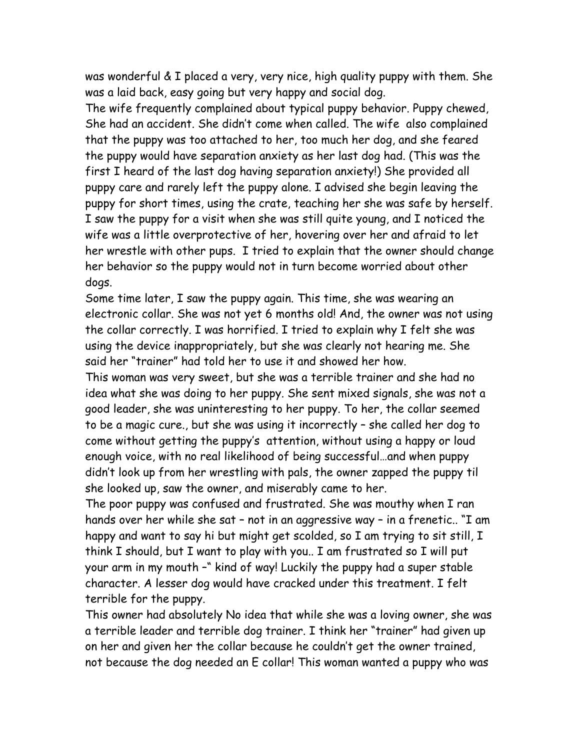was wonderful & I placed a very, very nice, high quality puppy with them. She was a laid back, easy going but very happy and social dog.

The wife frequently complained about typical puppy behavior. Puppy chewed, She had an accident. She didn't come when called. The wife also complained that the puppy was too attached to her, too much her dog, and she feared the puppy would have separation anxiety as her last dog had. (This was the first I heard of the last dog having separation anxiety!) She provided all puppy care and rarely left the puppy alone. I advised she begin leaving the puppy for short times, using the crate, teaching her she was safe by herself. I saw the puppy for a visit when she was still quite young, and I noticed the wife was a little overprotective of her, hovering over her and afraid to let her wrestle with other pups. I tried to explain that the owner should change her behavior so the puppy would not in turn become worried about other dogs.

Some time later, I saw the puppy again. This time, she was wearing an electronic collar. She was not yet 6 months old! And, the owner was not using the collar correctly. I was horrified. I tried to explain why I felt she was using the device inappropriately, but she was clearly not hearing me. She said her "trainer" had told her to use it and showed her how.

This woman was very sweet, but she was a terrible trainer and she had no idea what she was doing to her puppy. She sent mixed signals, she was not a good leader, she was uninteresting to her puppy. To her, the collar seemed to be a magic cure., but she was using it incorrectly – she called her dog to come without getting the puppy's attention, without using a happy or loud enough voice, with no real likelihood of being successful…and when puppy didn't look up from her wrestling with pals, the owner zapped the puppy til she looked up, saw the owner, and miserably came to her.

The poor puppy was confused and frustrated. She was mouthy when I ran hands over her while she sat – not in an aggressive way – in a frenetic.. "I am happy and want to say hi but might get scolded, so I am trying to sit still, I think I should, but I want to play with you.. I am frustrated so I will put your arm in my mouth –" kind of way! Luckily the puppy had a super stable character. A lesser dog would have cracked under this treatment. I felt terrible for the puppy.

This owner had absolutely No idea that while she was a loving owner, she was a terrible leader and terrible dog trainer. I think her "trainer" had given up on her and given her the collar because he couldn't get the owner trained, not because the dog needed an E collar! This woman wanted a puppy who was